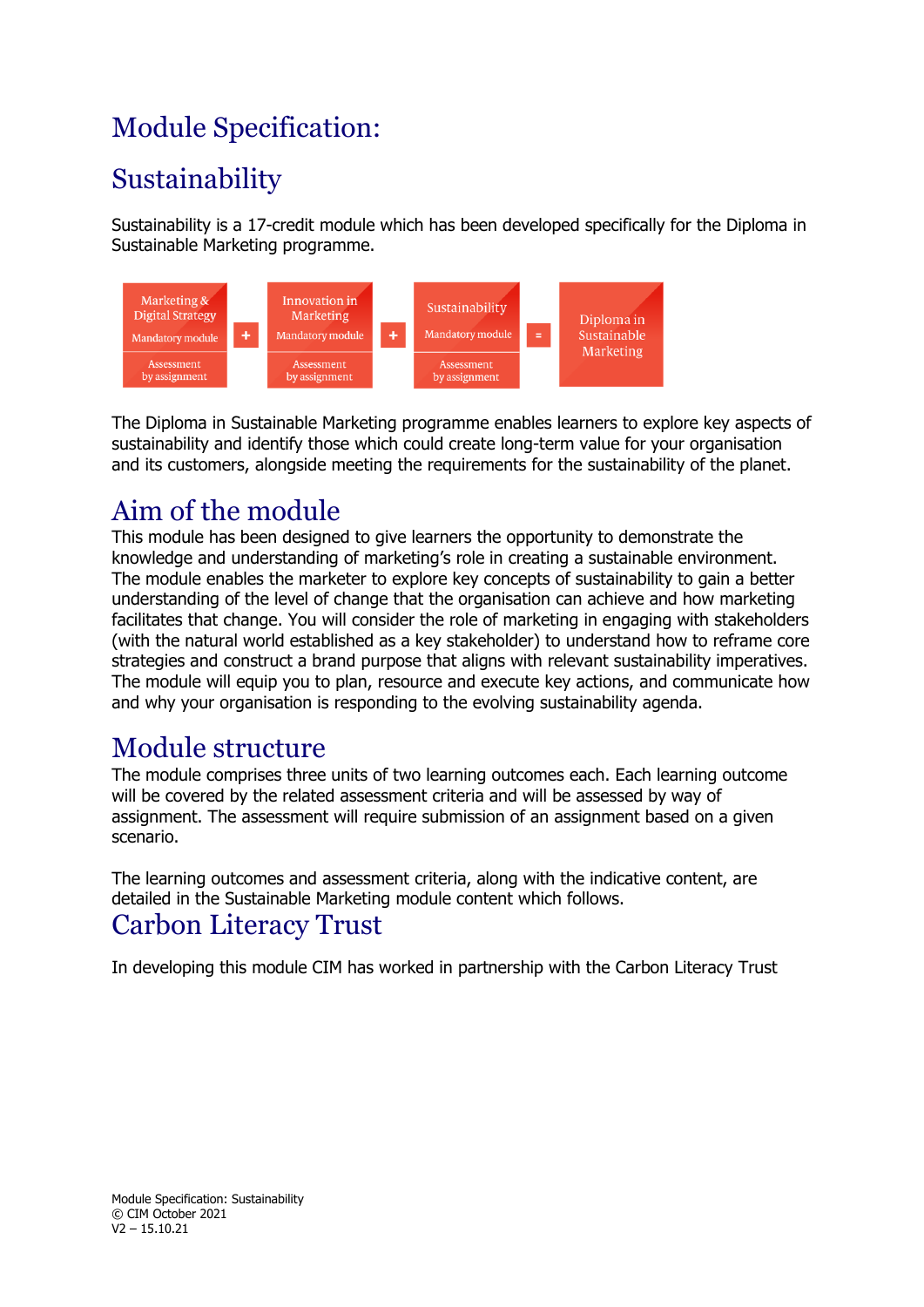## Module Specification:

# **Sustainability**

Sustainability is a 17-credit module which has been developed specifically for the Diploma in Sustainable Marketing programme.



The Diploma in Sustainable Marketing programme enables learners to explore key aspects of sustainability and identify those which could create long-term value for your organisation and its customers, alongside meeting the requirements for the sustainability of the planet.

### Aim of the module

This module has been designed to give learners the opportunity to demonstrate the knowledge and understanding of marketing's role in creating a sustainable environment. The module enables the marketer to explore key concepts of sustainability to gain a better understanding of the level of change that the organisation can achieve and how marketing facilitates that change. You will consider the role of marketing in engaging with stakeholders (with the natural world established as a key stakeholder) to understand how to reframe core strategies and construct a brand purpose that aligns with relevant sustainability imperatives. The module will equip you to plan, resource and execute key actions, and communicate how and why your organisation is responding to the evolving sustainability agenda.

### Module structure

The module comprises three units of two learning outcomes each. Each learning outcome will be covered by the related assessment criteria and will be assessed by way of assignment. The assessment will require submission of an assignment based on a given scenario.

The learning outcomes and assessment criteria, along with the indicative content, are detailed in the Sustainable Marketing module content which follows.

### Carbon Literacy Trust

In developing this module CIM has worked in partnership with the Carbon Literacy Trust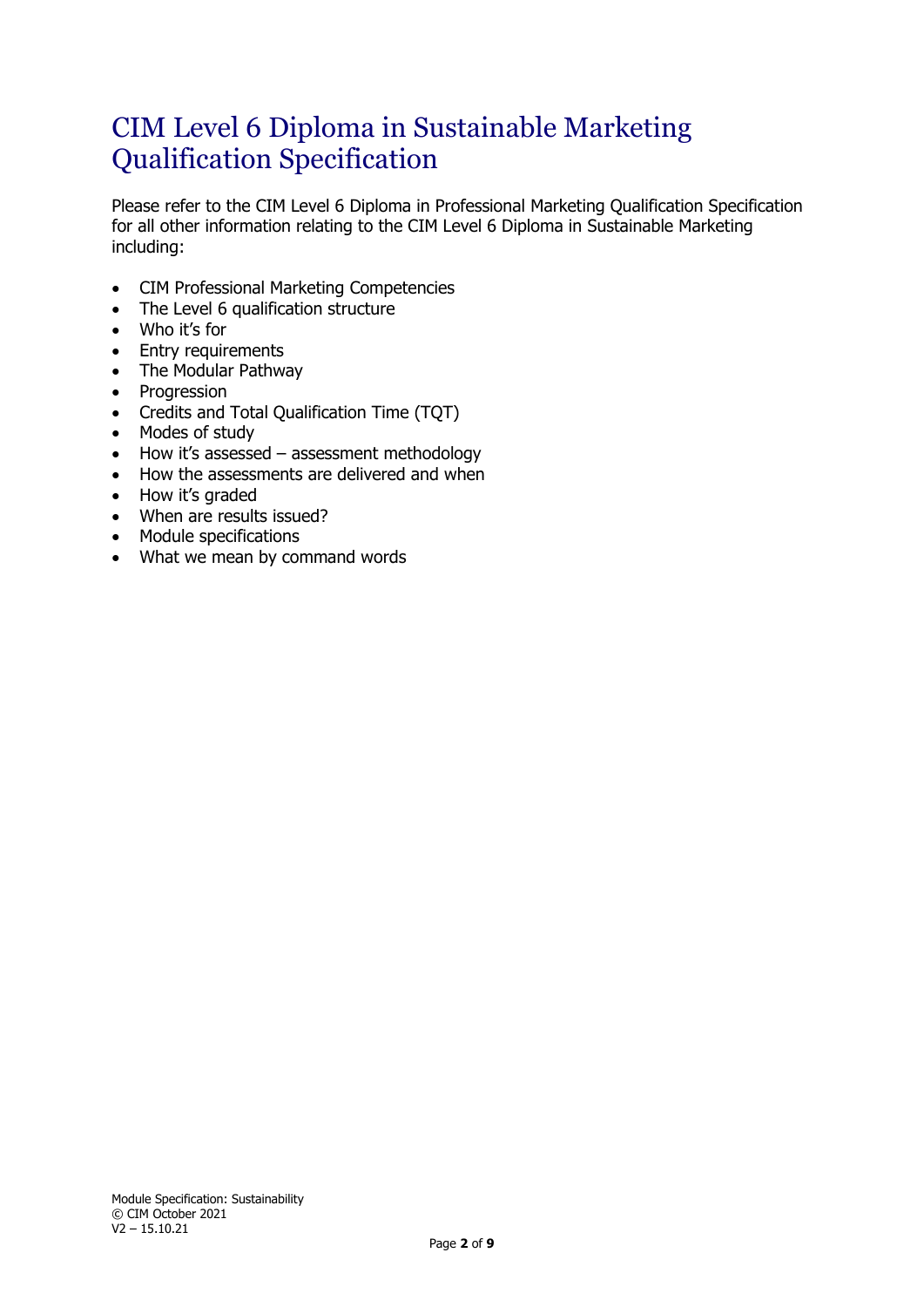### CIM Level 6 Diploma in Sustainable Marketing Qualification Specification

Please refer to the CIM Level 6 Diploma in Professional Marketing Qualification Specification for all other information relating to the CIM Level 6 Diploma in Sustainable Marketing including:

- CIM Professional Marketing Competencies
- The Level 6 qualification structure
- Who it's for
- Entry requirements
- The Modular Pathway
- Progression
- Credits and Total Qualification Time (TQT)
- Modes of study
- How it's assessed assessment methodology
- How the assessments are delivered and when
- How it's graded
- When are results issued?
- Module specifications
- What we mean by command words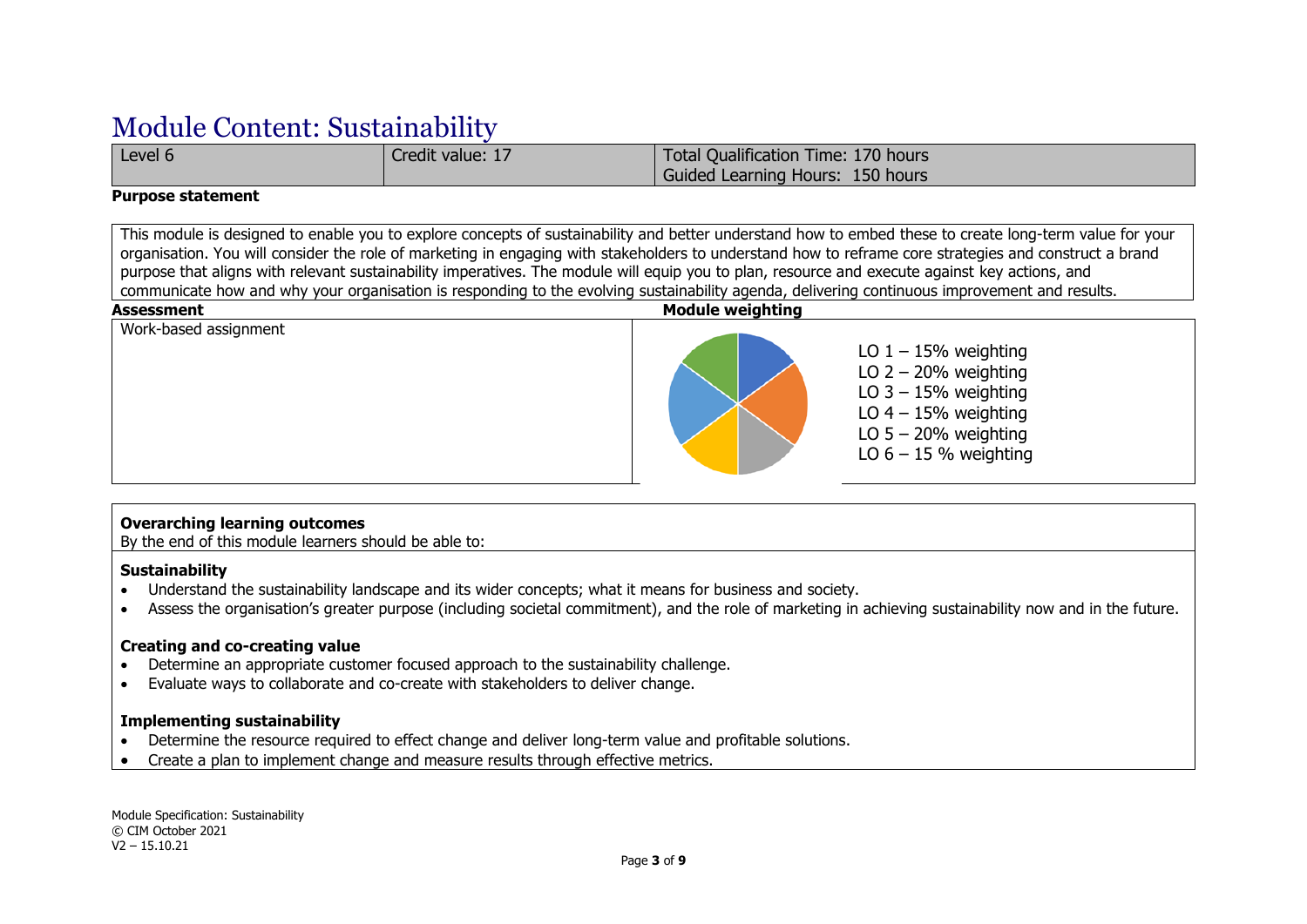### Module Content: Sustainability

Level 6 Credit value: 17 Total Qualification Time: 170 hours Guided Learning Hours: 150 hours

#### **Purpose statement**

This module is designed to enable you to explore concepts of sustainability and better understand how to embed these to create long-term value for your organisation. You will consider the role of marketing in engaging with stakeholders to understand how to reframe core strategies and construct a brand purpose that aligns with relevant sustainability imperatives. The module will equip you to plan, resource and execute against key actions, and communicate how and why your organisation is responding to the evolving sustainability agenda, delivering continuous improvement and results.



#### **Overarching learning outcomes**

By the end of this module learners should be able to:

#### **Sustainability**

- Understand the sustainability landscape and its wider concepts; what it means for business and society.
- Assess the organisation's greater purpose (including societal commitment), and the role of marketing in achieving sustainability now and in the future.

#### **Creating and co-creating value**

- Determine an appropriate customer focused approach to the sustainability challenge.
- Evaluate ways to collaborate and co-create with stakeholders to deliver change.

#### **Implementing sustainability**

- Determine the resource required to effect change and deliver long-term value and profitable solutions.
- Create a plan to implement change and measure results through effective metrics.

Module Specification: Sustainability © CIM October 2021 V2 – 15.10.21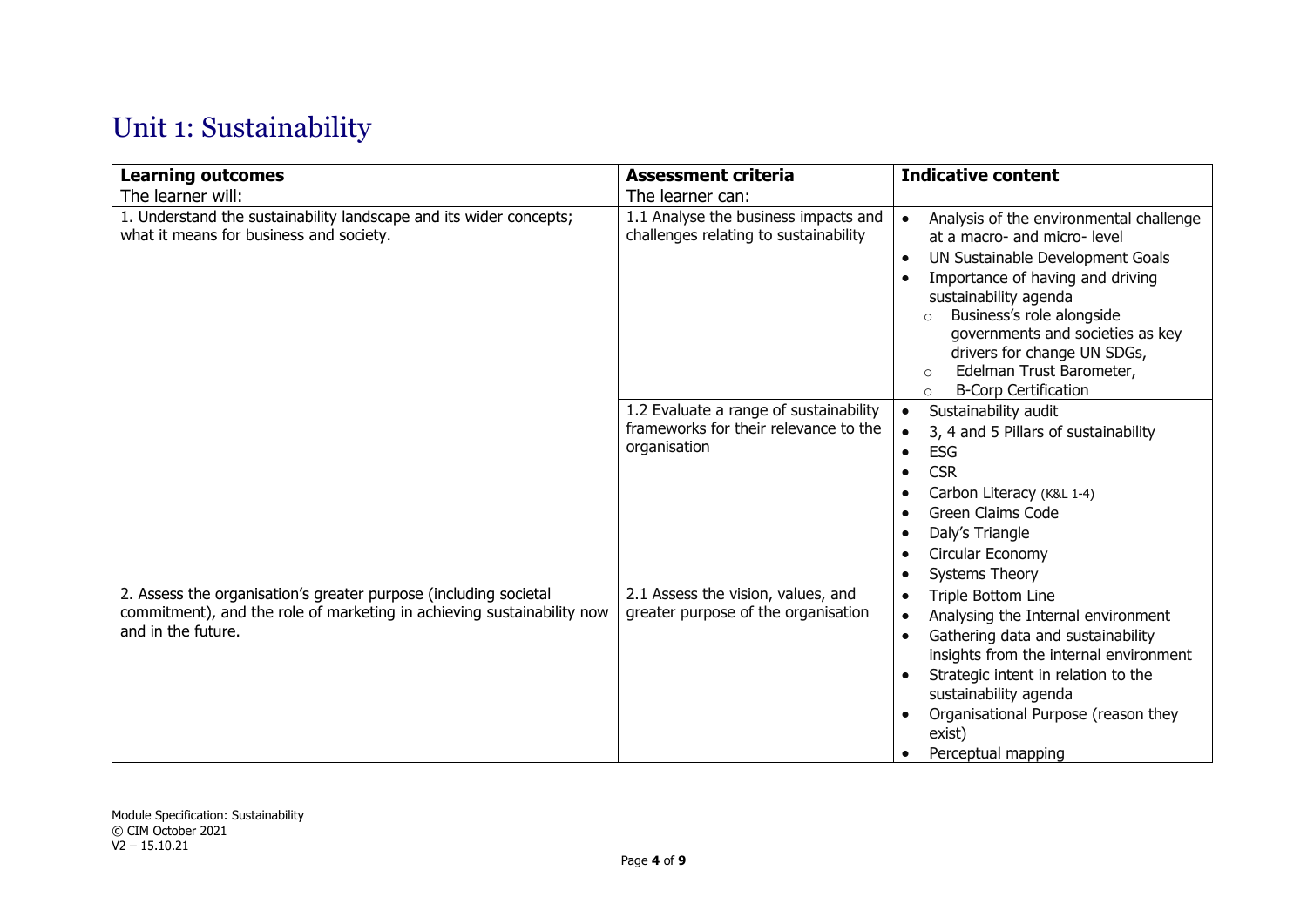## Unit 1: Sustainability

| <b>Learning outcomes</b>                                                                                                                                         | <b>Assessment criteria</b>                                                                      | <b>Indicative content</b>                                                                                                                                                                                                                                                                                                                                                         |
|------------------------------------------------------------------------------------------------------------------------------------------------------------------|-------------------------------------------------------------------------------------------------|-----------------------------------------------------------------------------------------------------------------------------------------------------------------------------------------------------------------------------------------------------------------------------------------------------------------------------------------------------------------------------------|
| The learner will:                                                                                                                                                | The learner can:                                                                                |                                                                                                                                                                                                                                                                                                                                                                                   |
| 1. Understand the sustainability landscape and its wider concepts;<br>what it means for business and society.                                                    | 1.1 Analyse the business impacts and<br>challenges relating to sustainability                   | Analysis of the environmental challenge<br>$\bullet$<br>at a macro- and micro- level<br>UN Sustainable Development Goals<br>Importance of having and driving<br>sustainability agenda<br>Business's role alongside<br>$\circ$<br>governments and societies as key<br>drivers for change UN SDGs,<br>Edelman Trust Barometer,<br>$\circ$<br><b>B-Corp Certification</b><br>$\circ$ |
|                                                                                                                                                                  | 1.2 Evaluate a range of sustainability<br>frameworks for their relevance to the<br>organisation | Sustainability audit<br>$\bullet$<br>3, 4 and 5 Pillars of sustainability<br>$\bullet$<br><b>ESG</b><br>$\bullet$<br><b>CSR</b><br>Carbon Literacy (K&L 1-4)<br><b>Green Claims Code</b><br>Daly's Triangle<br>Circular Economy<br><b>Systems Theory</b><br>$\bullet$                                                                                                             |
| 2. Assess the organisation's greater purpose (including societal<br>commitment), and the role of marketing in achieving sustainability now<br>and in the future. | 2.1 Assess the vision, values, and<br>greater purpose of the organisation                       | Triple Bottom Line<br>$\bullet$<br>Analysing the Internal environment<br>$\bullet$<br>Gathering data and sustainability<br>$\bullet$<br>insights from the internal environment<br>Strategic intent in relation to the<br>sustainability agenda<br>Organisational Purpose (reason they<br>exist)<br>Perceptual mapping                                                             |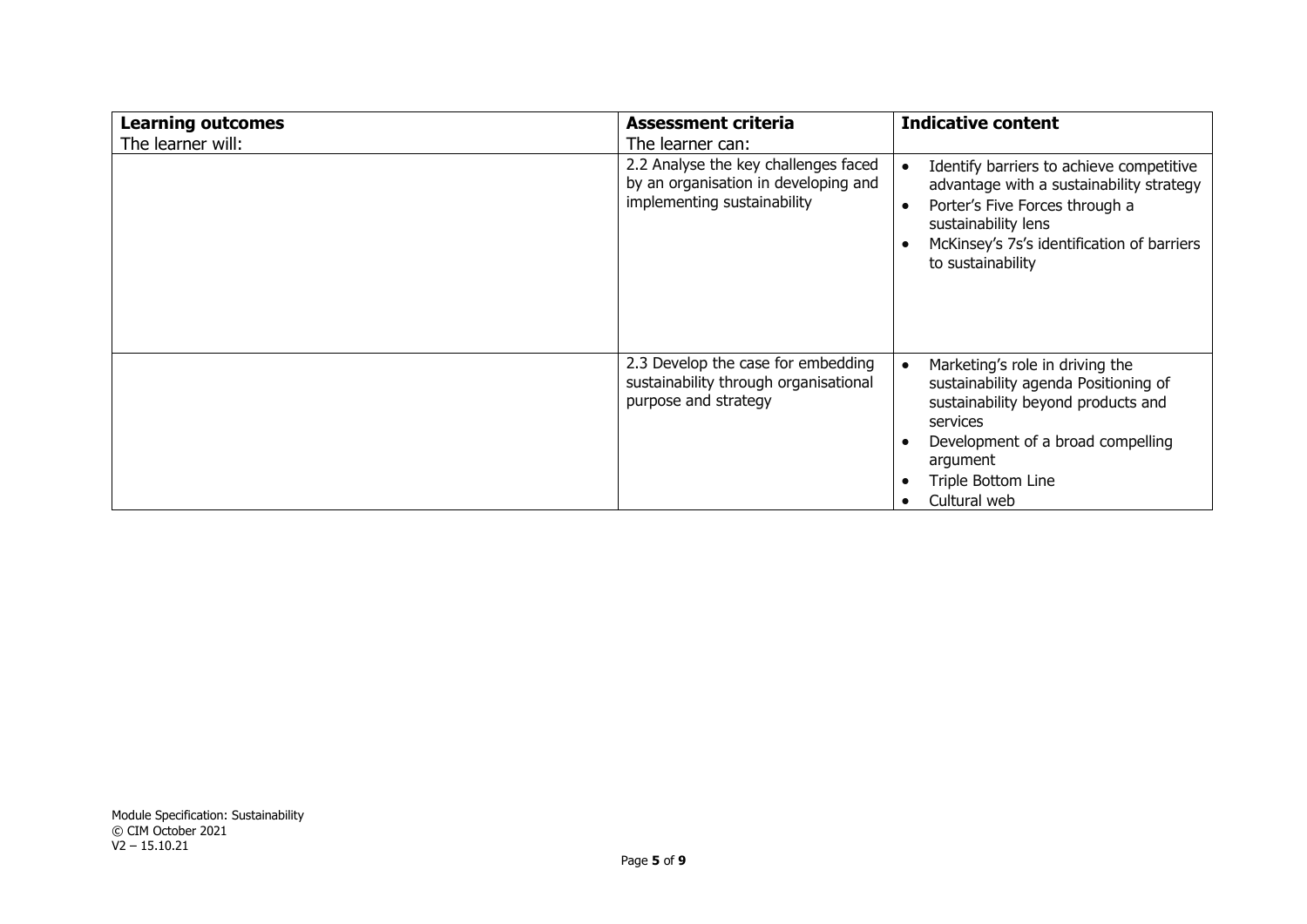| <b>Learning outcomes</b> | <b>Assessment criteria</b>                                                                                  | <b>Indicative content</b>                                                                                                                                                                                                                  |
|--------------------------|-------------------------------------------------------------------------------------------------------------|--------------------------------------------------------------------------------------------------------------------------------------------------------------------------------------------------------------------------------------------|
| The learner will:        | The learner can:                                                                                            |                                                                                                                                                                                                                                            |
|                          | 2.2 Analyse the key challenges faced<br>by an organisation in developing and<br>implementing sustainability | Identify barriers to achieve competitive<br>$\bullet$<br>advantage with a sustainability strategy<br>Porter's Five Forces through a<br>$\bullet$<br>sustainability lens<br>McKinsey's 7s's identification of barriers<br>to sustainability |
|                          | 2.3 Develop the case for embedding<br>sustainability through organisational<br>purpose and strategy         | Marketing's role in driving the<br>sustainability agenda Positioning of<br>sustainability beyond products and<br>services<br>Development of a broad compelling<br>argument<br>Triple Bottom Line<br>Cultural web                           |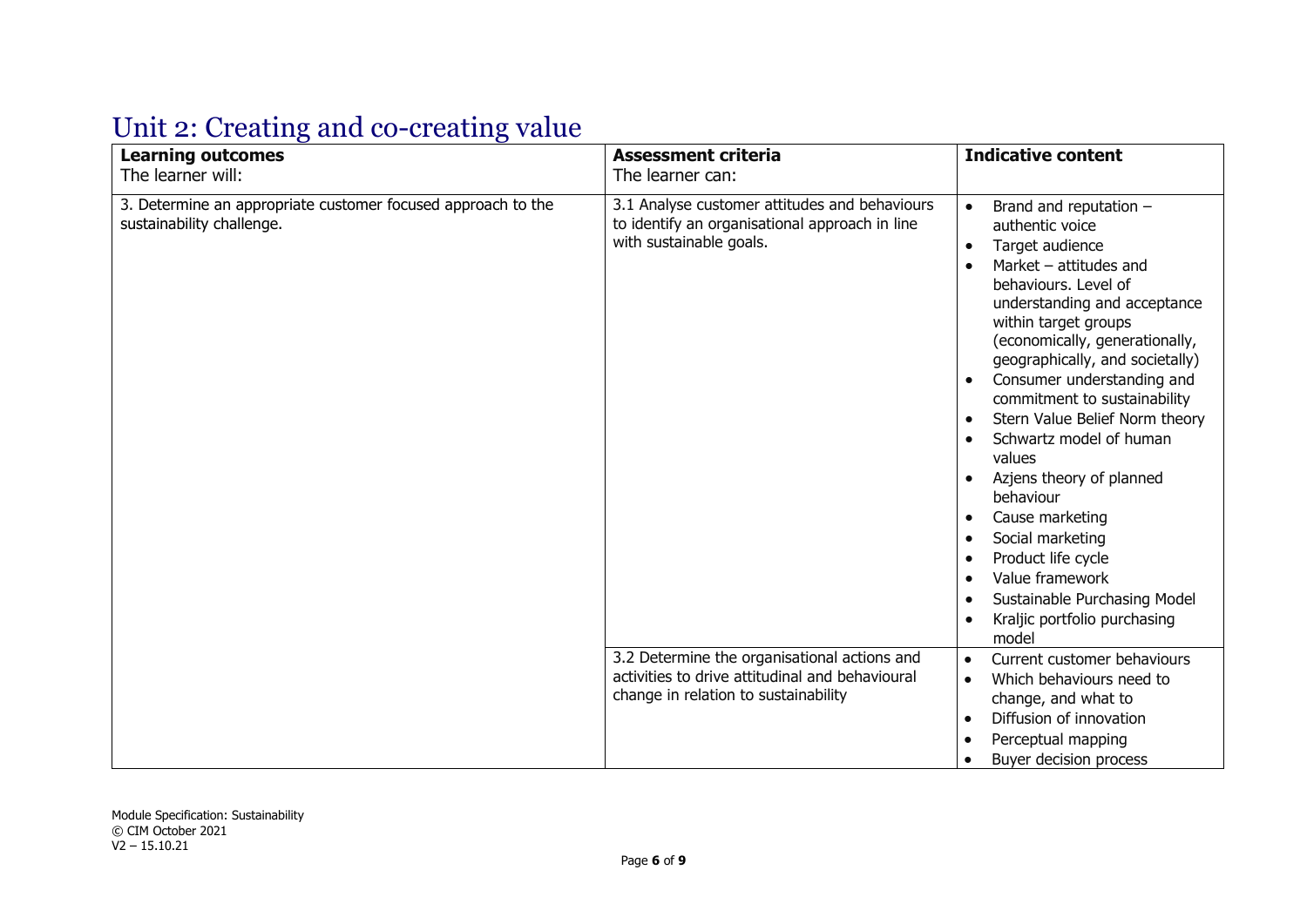# Unit 2: Creating and co-creating value

| <b>Learning outcomes</b>                                                                                       | <b>Assessment criteria</b><br>The learner can:                                                                                          | <b>Indicative content</b>                                                                                                                                                                                                                                                                                                                                                                                                                                                                                                                                                                                        |
|----------------------------------------------------------------------------------------------------------------|-----------------------------------------------------------------------------------------------------------------------------------------|------------------------------------------------------------------------------------------------------------------------------------------------------------------------------------------------------------------------------------------------------------------------------------------------------------------------------------------------------------------------------------------------------------------------------------------------------------------------------------------------------------------------------------------------------------------------------------------------------------------|
| The learner will:<br>3. Determine an appropriate customer focused approach to the<br>sustainability challenge. | 3.1 Analyse customer attitudes and behaviours<br>to identify an organisational approach in line<br>with sustainable goals.              | $\bullet$<br>Brand and reputation $-$<br>authentic voice<br>Target audience<br>$\bullet$<br>Market $-$ attitudes and<br>behaviours. Level of<br>understanding and acceptance<br>within target groups<br>(economically, generationally,<br>geographically, and societally)<br>Consumer understanding and<br>commitment to sustainability<br>Stern Value Belief Norm theory<br>Schwartz model of human<br>values<br>Azjens theory of planned<br>behaviour<br>Cause marketing<br>Social marketing<br>Product life cycle<br>Value framework<br>Sustainable Purchasing Model<br>Kraljic portfolio purchasing<br>model |
|                                                                                                                | 3.2 Determine the organisational actions and<br>activities to drive attitudinal and behavioural<br>change in relation to sustainability | Current customer behaviours<br>$\bullet$<br>Which behaviours need to<br>$\bullet$<br>change, and what to<br>Diffusion of innovation<br>$\bullet$<br>Perceptual mapping<br>Buyer decision process                                                                                                                                                                                                                                                                                                                                                                                                                 |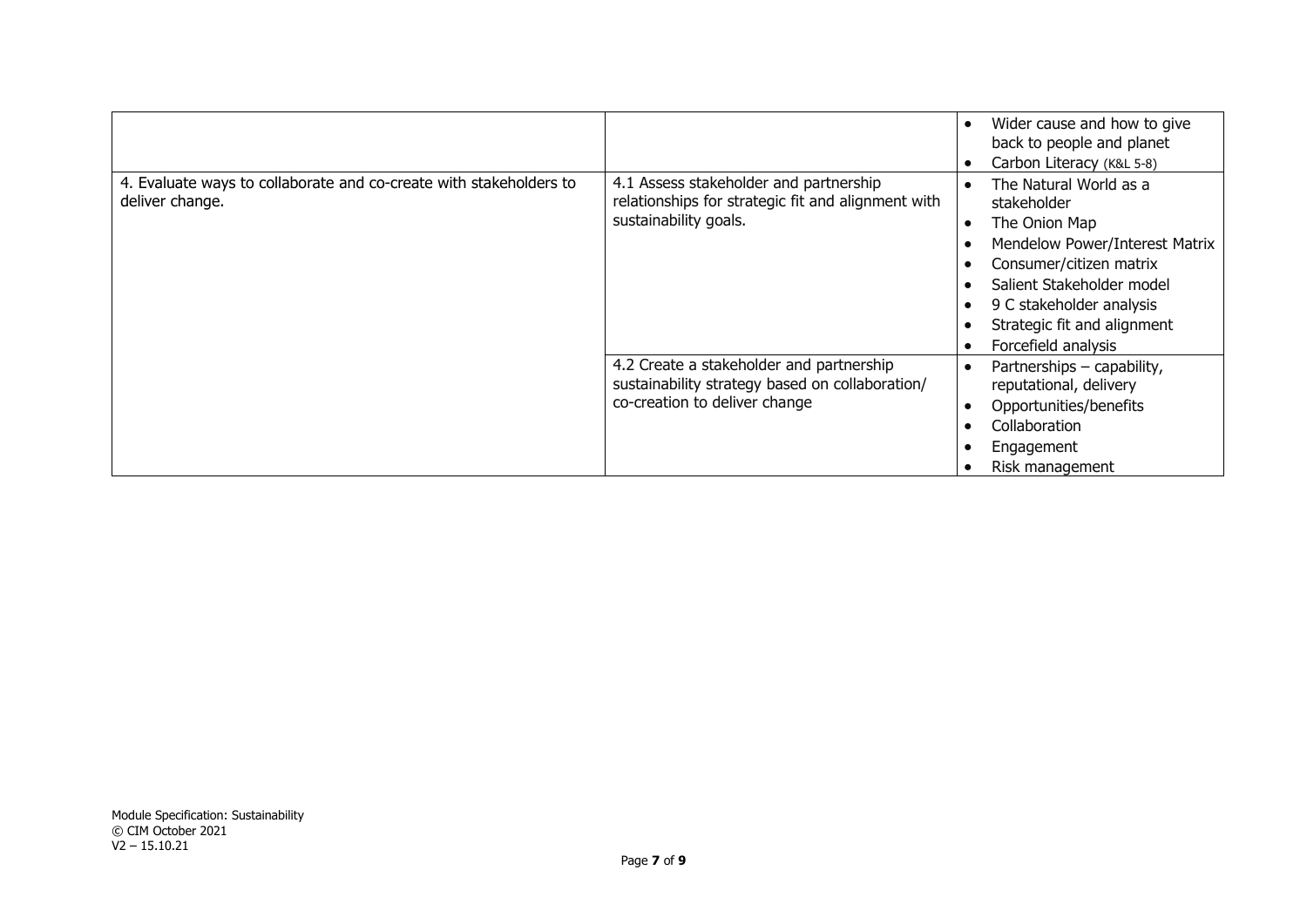|                                                                                       |                                                                                                                              | Wider cause and how to give<br>back to people and planet<br>Carbon Literacy (K&L 5-8)                                                                                                                                              |
|---------------------------------------------------------------------------------------|------------------------------------------------------------------------------------------------------------------------------|------------------------------------------------------------------------------------------------------------------------------------------------------------------------------------------------------------------------------------|
| 4. Evaluate ways to collaborate and co-create with stakeholders to<br>deliver change. | 4.1 Assess stakeholder and partnership<br>relationships for strategic fit and alignment with<br>sustainability goals.        | The Natural World as a<br>stakeholder<br>The Onion Map<br>Mendelow Power/Interest Matrix<br>Consumer/citizen matrix<br>Salient Stakeholder model<br>9 C stakeholder analysis<br>Strategic fit and alignment<br>Forcefield analysis |
|                                                                                       | 4.2 Create a stakeholder and partnership<br>sustainability strategy based on collaboration/<br>co-creation to deliver change | Partnerships - capability,<br>reputational, delivery<br>Opportunities/benefits<br>Collaboration<br>Engagement<br>Risk management                                                                                                   |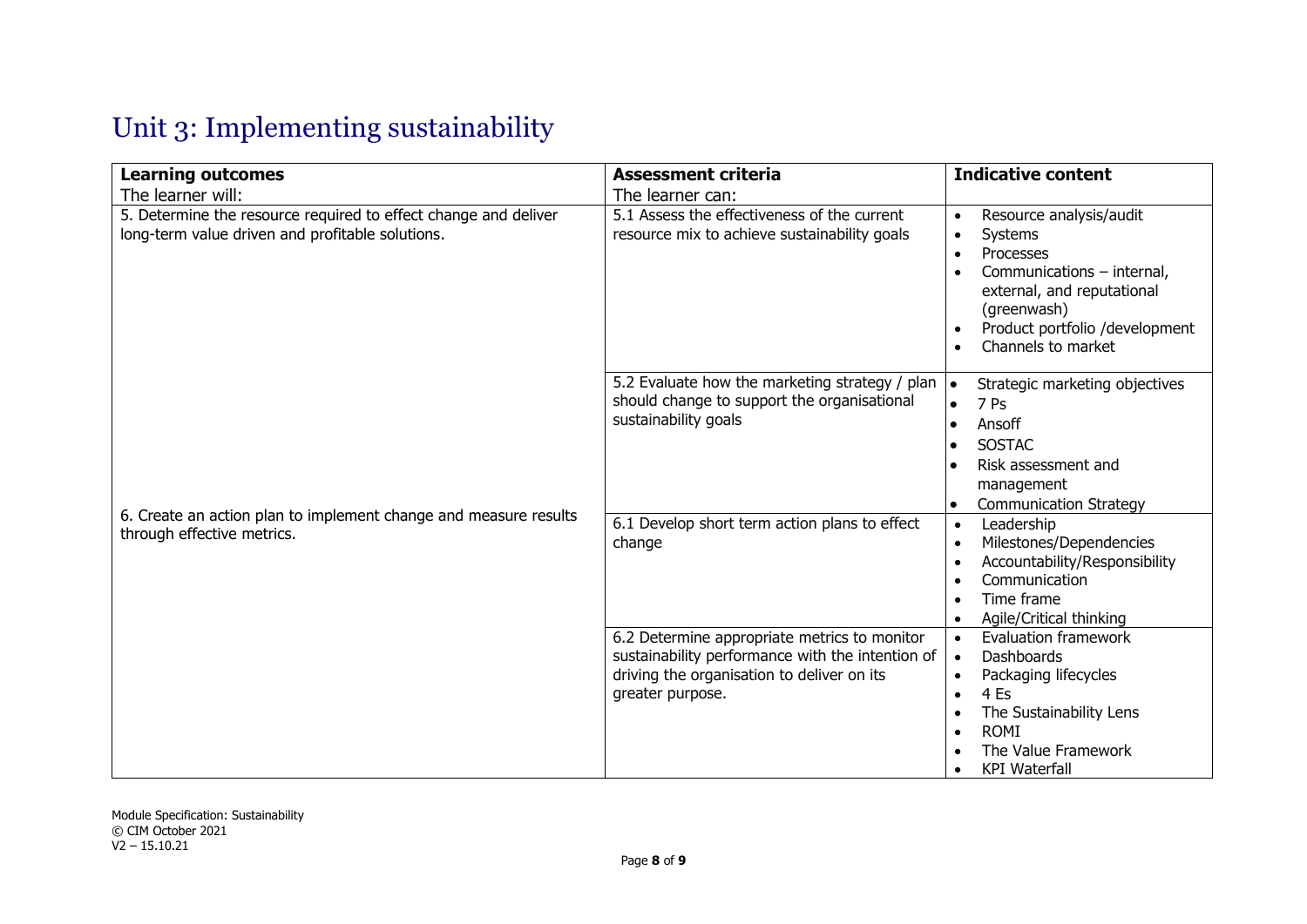# Unit 3: Implementing sustainability

| <b>Learning outcomes</b>                                                                                            | <b>Assessment criteria</b>                                                                                                                                         | <b>Indicative content</b>                                                                                                                                                                                                                  |
|---------------------------------------------------------------------------------------------------------------------|--------------------------------------------------------------------------------------------------------------------------------------------------------------------|--------------------------------------------------------------------------------------------------------------------------------------------------------------------------------------------------------------------------------------------|
| The learner will:                                                                                                   | The learner can:                                                                                                                                                   |                                                                                                                                                                                                                                            |
| 5. Determine the resource required to effect change and deliver<br>long-term value driven and profitable solutions. | 5.1 Assess the effectiveness of the current<br>resource mix to achieve sustainability goals                                                                        | Resource analysis/audit<br>$\bullet$<br>Systems<br>$\bullet$<br>Processes<br>$\bullet$<br>Communications - internal,<br>external, and reputational<br>(greenwash)<br>Product portfolio /development<br>$\bullet$<br>Channels to market     |
|                                                                                                                     | 5.2 Evaluate how the marketing strategy / plan<br>should change to support the organisational<br>sustainability goals                                              | Strategic marketing objectives<br><b>le</b><br>7 Ps<br>$\bullet$<br>Ansoff<br><b>SOSTAC</b><br>Risk assessment and<br>management<br><b>Communication Strategy</b>                                                                          |
| 6. Create an action plan to implement change and measure results<br>through effective metrics.                      | 6.1 Develop short term action plans to effect<br>change                                                                                                            | Leadership<br>$\bullet$<br>Milestones/Dependencies<br>$\bullet$<br>Accountability/Responsibility<br>$\bullet$<br>Communication<br>Time frame<br>Agile/Critical thinking<br>$\bullet$                                                       |
|                                                                                                                     | 6.2 Determine appropriate metrics to monitor<br>sustainability performance with the intention of<br>driving the organisation to deliver on its<br>greater purpose. | <b>Evaluation framework</b><br>$\bullet$<br><b>Dashboards</b><br>Packaging lifecycles<br>$\bullet$<br>4 Es<br>$\bullet$<br>The Sustainability Lens<br>$\bullet$<br><b>ROMI</b><br>$\bullet$<br>The Value Framework<br><b>KPI</b> Waterfall |